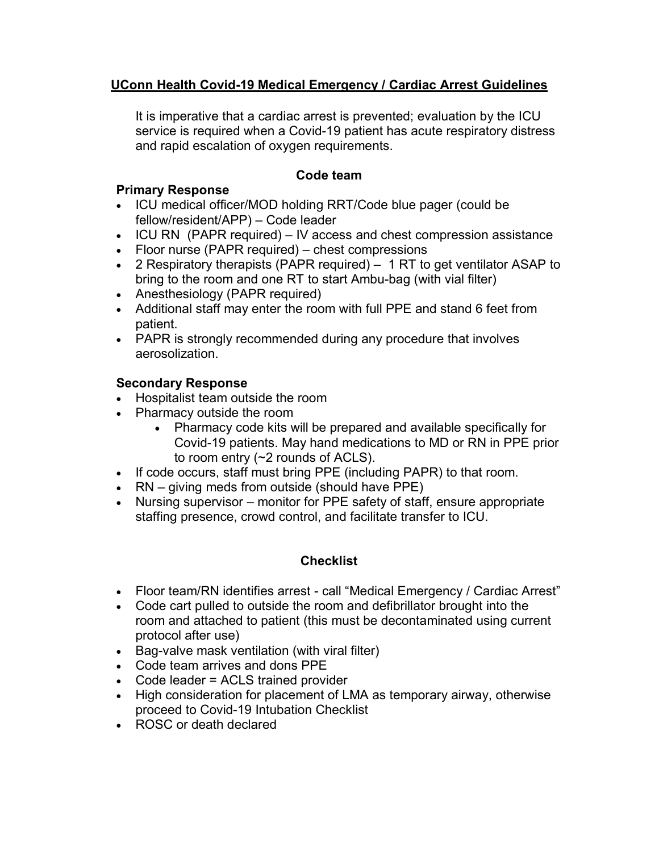# **UConn Health Covid-19 Medical Emergency / Cardiac Arrest Guidelines**

It is imperative that a cardiac arrest is prevented; evaluation by the ICU service is required when a Covid-19 patient has acute respiratory distress and rapid escalation of oxygen requirements.

### **Code team**

#### **Primary Response**

- ICU medical officer/MOD holding RRT/Code blue pager (could be fellow/resident/APP) – Code leader
- ICU RN (PAPR required) IV access and chest compression assistance
- Floor nurse (PAPR required) chest compressions
- 2 Respiratory therapists (PAPR required) 1 RT to get ventilator ASAP to bring to the room and one RT to start Ambu-bag (with vial filter)
- Anesthesiology (PAPR required)
- Additional staff may enter the room with full PPE and stand 6 feet from patient.
- PAPR is strongly recommended during any procedure that involves aerosolization.

#### **Secondary Response**

- Hospitalist team outside the room
- Pharmacy outside the room
	- Pharmacy code kits will be prepared and available specifically for Covid-19 patients. May hand medications to MD or RN in PPE prior to room entry (~2 rounds of ACLS).
- If code occurs, staff must bring PPE (including PAPR) to that room.
- RN giving meds from outside (should have PPE)
- Nursing supervisor monitor for PPE safety of staff, ensure appropriate staffing presence, crowd control, and facilitate transfer to ICU.

### **Checklist**

- Floor team/RN identifies arrest call "Medical Emergency / Cardiac Arrest"
- Code cart pulled to outside the room and defibrillator brought into the room and attached to patient (this must be decontaminated using current protocol after use)
- Bag-valve mask ventilation (with viral filter)
- Code team arrives and dons PPE
- Code leader = ACLS trained provider
- High consideration for placement of LMA as temporary airway, otherwise proceed to Covid-19 Intubation Checklist
- ROSC or death declared